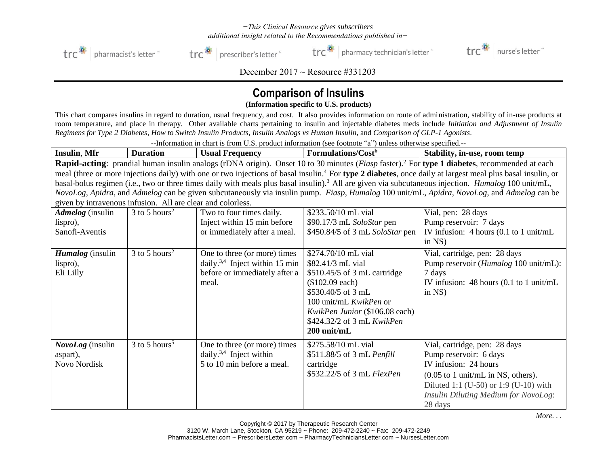## *−This Clinical Resource gives subscribers additional insight related to the Recommendations published in−*



trc<sup>\*</sup> | prescriber's letter

 $\text{trc}^*$  | pharmacy technician's letter  $\ddot{\ }$ 



December  $2017 \sim$  Resource #331203

## **Comparison of Insulins**

**(Information specific to U.S. products)**

This chart compares insulins in regard to duration, usual frequency, and cost. It also provides information on route of administration, stability of in-use products at room temperature, and place in therapy. Other available charts pertaining to insulin and injectable diabetes meds include *Initiation and Adjustment of Insulin Regimens for Type 2 Diabetes, How to Switch Insulin Products*, *Insulin Analogs vs Human Insulin,* and *Comparison of GLP-1 Agonists*.

--Information in chart is from U.S. product information (see footnote "a") unless otherwise specified.--

| <b>Insulin, Mfr</b>                                                                                                                                                      | <b>Duration</b>             | <b>Usual Frequency</b>                     | Formulations/Cost <sup>b</sup>  | Stability, in-use, room temp                          |
|--------------------------------------------------------------------------------------------------------------------------------------------------------------------------|-----------------------------|--------------------------------------------|---------------------------------|-------------------------------------------------------|
| <b>Rapid-acting</b> : prandial human insulin analogs (rDNA origin). Onset 10 to 30 minutes ( <i>Fiasp</i> faster). <sup>2</sup> For type 1 diabetes, recommended at each |                             |                                            |                                 |                                                       |
| meal (three or more injections daily) with one or two injections of basal insulin. <sup>4</sup> For type 2 diabetes, once daily at largest meal plus basal insulin, or   |                             |                                            |                                 |                                                       |
| basal-bolus regimen (i.e., two or three times daily with meals plus basal insulin). <sup>3</sup> All are given via subcutaneous injection. <i>Humalog</i> 100 unit/mL,   |                             |                                            |                                 |                                                       |
| NovoLog, Apidra, and Admelog can be given subcutaneously via insulin pump. Fiasp, Humalog 100 unit/mL, Apidra, NovoLog, and Admelog can be                               |                             |                                            |                                 |                                                       |
| given by intravenous infusion. All are clear and colorless.                                                                                                              |                             |                                            |                                 |                                                       |
| <b>Admelog</b> (insulin                                                                                                                                                  | $3$ to 5 hours <sup>2</sup> | Two to four times daily.                   | \$233.50/10 mL vial             | Vial, pen: 28 days                                    |
| lispro),                                                                                                                                                                 |                             | Inject within 15 min before                | \$90.17/3 mL SoloStar pen       | Pump reservoir: 7 days                                |
| Sanofi-Aventis                                                                                                                                                           |                             | or immediately after a meal.               | \$450.84/5 of 3 mL SoloStar pen | IV infusion: $4$ hours (0.1 to 1 unit/mL              |
|                                                                                                                                                                          |                             |                                            |                                 | in $NS$ )                                             |
| <i>Humalog</i> (insulin                                                                                                                                                  | $3$ to 5 hours <sup>2</sup> | One to three (or more) times               | \$274.70/10 mL vial             | Vial, cartridge, pen: 28 days                         |
| lispro),                                                                                                                                                                 |                             | daily. <sup>3,4</sup> Inject within 15 min | \$82.41/3 mL vial               | Pump reservoir ( <i>Humalog</i> 100 unit/mL):         |
| Eli Lilly                                                                                                                                                                |                             | before or immediately after a              | $$510.45/5$ of 3 mL cartridge   | 7 days                                                |
|                                                                                                                                                                          |                             | meal.                                      | $$102.09$ each)                 | IV infusion: $48$ hours (0.1 to 1 unit/mL             |
|                                                                                                                                                                          |                             |                                            | $$530.40/5$ of 3 mL             | in $NS$ )                                             |
|                                                                                                                                                                          |                             |                                            | 100 unit/mL KwikPen or          |                                                       |
|                                                                                                                                                                          |                             |                                            | KwikPen Junior (\$106.08 each)  |                                                       |
|                                                                                                                                                                          |                             |                                            | \$424.32/2 of 3 mL KwikPen      |                                                       |
|                                                                                                                                                                          |                             |                                            | 200 unit/mL                     |                                                       |
| NovoLog (insulin                                                                                                                                                         | $3$ to 5 hours <sup>5</sup> | One to three (or more) times               | \$275.58/10 mL vial             | Vial, cartridge, pen: 28 days                         |
| aspart),                                                                                                                                                                 |                             | daily. <sup>3,4</sup> Inject within        | \$511.88/5 of 3 mL Penfill      | Pump reservoir: 6 days                                |
| Novo Nordisk                                                                                                                                                             |                             | 5 to 10 min before a meal.                 | cartridge                       | IV infusion: 24 hours                                 |
|                                                                                                                                                                          |                             |                                            | \$532.22/5 of 3 mL FlexPen      | $(0.05 \text{ to } 1 \text{ unit/mL}$ in NS, others). |
|                                                                                                                                                                          |                             |                                            |                                 | Diluted 1:1 (U-50) or 1:9 (U-10) with                 |
|                                                                                                                                                                          |                             |                                            |                                 | <b>Insulin Diluting Medium for NovoLog:</b>           |
|                                                                                                                                                                          |                             |                                            |                                 | 28 days                                               |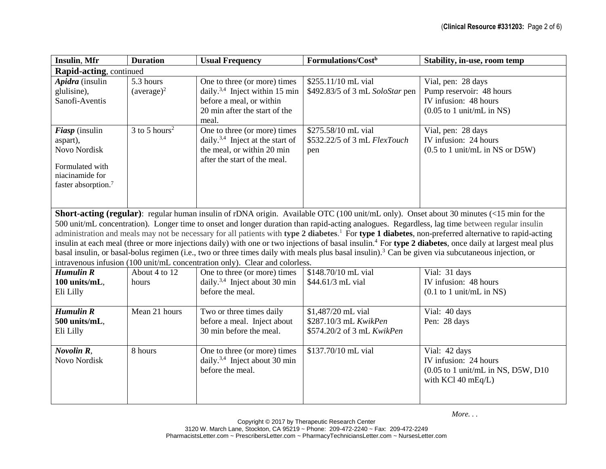| <b>Insulin, Mfr</b>                                                                                                                                                                                                                                                                                                                                                                                                                                                                                                                                                                                                                                                                                                                                                                                                                                                                    | <b>Duration</b>             | <b>Usual Frequency</b>                                                                                                                           | Formulations/Cost <sup>b</sup>                                            | Stability, in-use, room temp                                                                                            |  |
|----------------------------------------------------------------------------------------------------------------------------------------------------------------------------------------------------------------------------------------------------------------------------------------------------------------------------------------------------------------------------------------------------------------------------------------------------------------------------------------------------------------------------------------------------------------------------------------------------------------------------------------------------------------------------------------------------------------------------------------------------------------------------------------------------------------------------------------------------------------------------------------|-----------------------------|--------------------------------------------------------------------------------------------------------------------------------------------------|---------------------------------------------------------------------------|-------------------------------------------------------------------------------------------------------------------------|--|
| Rapid-acting, continued                                                                                                                                                                                                                                                                                                                                                                                                                                                                                                                                                                                                                                                                                                                                                                                                                                                                |                             |                                                                                                                                                  |                                                                           |                                                                                                                         |  |
| Apidra (insulin<br>glulisine),<br>Sanofi-Aventis                                                                                                                                                                                                                                                                                                                                                                                                                                                                                                                                                                                                                                                                                                                                                                                                                                       | 5.3 hours<br>$(average)^2$  | One to three (or more) times<br>daily. <sup>3,4</sup> Inject within 15 min<br>before a meal, or within<br>20 min after the start of the<br>meal. | \$255.11/10 mL vial<br>\$492.83/5 of 3 mL SoloStar pen                    | Vial, pen: 28 days<br>Pump reservoir: 48 hours<br>IV infusion: 48 hours<br>$(0.05 \text{ to } 1 \text{ unit/mL in NS})$ |  |
| Fiasp (insulin<br>aspart),<br><b>Novo Nordisk</b><br>Formulated with<br>niacinamide for<br>faster absorption. <sup>7</sup>                                                                                                                                                                                                                                                                                                                                                                                                                                                                                                                                                                                                                                                                                                                                                             | $3$ to 5 hours <sup>2</sup> | One to three (or more) times<br>daily. <sup>3,4</sup> Inject at the start of<br>the meal, or within 20 min<br>after the start of the meal.       | \$275.58/10 mL vial<br>\$532.22/5 of 3 mL FlexTouch<br>pen                | Vial, pen: 28 days<br>IV infusion: 24 hours<br>$(0.5$ to 1 unit/mL in NS or D5W)                                        |  |
| Short-acting (regular): regular human insulin of rDNA origin. Available OTC (100 unit/mL only). Onset about 30 minutes (<15 min for the<br>500 unit/mL concentration). Longer time to onset and longer duration than rapid-acting analogues. Regardless, lag time between regular insulin<br>administration and meals may not be necessary for all patients with type 2 diabetes. <sup>1</sup> For type 1 diabetes, non-preferred alternative to rapid-acting<br>insulin at each meal (three or more injections daily) with one or two injections of basal insulin. <sup>4</sup> For type 2 diabetes, once daily at largest meal plus<br>basal insulin, or basal-bolus regimen (i.e., two or three times daily with meals plus basal insulin). <sup>3</sup> Can be given via subcutaneous injection, or<br>intravenous infusion (100 unit/mL concentration only). Clear and colorless. |                             |                                                                                                                                                  |                                                                           |                                                                                                                         |  |
| $H$ umulin $R$<br>100 units/mL,<br>Eli Lilly                                                                                                                                                                                                                                                                                                                                                                                                                                                                                                                                                                                                                                                                                                                                                                                                                                           | About 4 to 12<br>hours      | One to three (or more) times<br>daily. <sup>3,4</sup> Inject about 30 min<br>before the meal.                                                    | \$148.70/10 mL vial<br>\$44.61/3 mL vial                                  | Vial: 31 days<br>IV infusion: 48 hours<br>$(0.1$ to 1 unit/mL in NS)                                                    |  |
| <b>Humulin R</b><br>500 units/mL,<br>Eli Lilly                                                                                                                                                                                                                                                                                                                                                                                                                                                                                                                                                                                                                                                                                                                                                                                                                                         | Mean 21 hours               | Two or three times daily<br>before a meal. Inject about<br>30 min before the meal.                                                               | \$1,487/20 mL vial<br>\$287.10/3 mL KwikPen<br>\$574.20/2 of 3 mL KwikPen | Vial: 40 days<br>Pen: 28 days                                                                                           |  |
| Novolin R.<br><b>Novo Nordisk</b>                                                                                                                                                                                                                                                                                                                                                                                                                                                                                                                                                                                                                                                                                                                                                                                                                                                      | 8 hours                     | One to three (or more) times<br>daily. <sup>3,4</sup> Inject about 30 min<br>before the meal.                                                    | \$137.70/10 mL vial                                                       | Vial: 42 days<br>IV infusion: 24 hours<br>$(0.05$ to 1 unit/mL in NS, D5W, D10<br>with KCl 40 mEq/L)                    |  |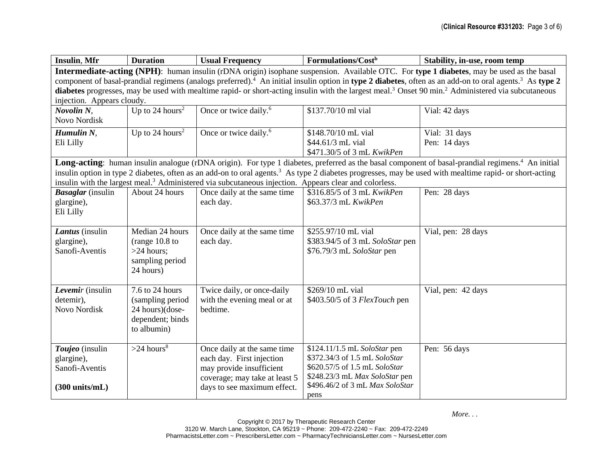| Insulin, Mfr                                                                                                                                                                   | <b>Duration</b>             | <b>Usual Frequency</b>                                                                                            | Formulations/Cost <sup>b</sup>  | Stability, in-use, room temp                                                                                                                                       |
|--------------------------------------------------------------------------------------------------------------------------------------------------------------------------------|-----------------------------|-------------------------------------------------------------------------------------------------------------------|---------------------------------|--------------------------------------------------------------------------------------------------------------------------------------------------------------------|
| Intermediate-acting (NPH): human insulin (rDNA origin) isophane suspension. Available OTC. For type 1 diabetes, may be used as the basal                                       |                             |                                                                                                                   |                                 |                                                                                                                                                                    |
| component of basal-prandial regimens (analogs preferred). <sup>4</sup> An initial insulin option in type 2 diabetes, often as an add-on to oral agents. <sup>3</sup> As type 2 |                             |                                                                                                                   |                                 |                                                                                                                                                                    |
| diabetes progresses, may be used with mealtime rapid- or short-acting insulin with the largest meal. <sup>3</sup> Onset 90 min. <sup>2</sup> Administered via subcutaneous     |                             |                                                                                                                   |                                 |                                                                                                                                                                    |
| injection. Appears cloudy.                                                                                                                                                     |                             |                                                                                                                   |                                 |                                                                                                                                                                    |
| Novolin <sub>N,</sub>                                                                                                                                                          | Up to 24 hours <sup>2</sup> | Once or twice daily. <sup>6</sup>                                                                                 | \$137.70/10 ml vial             | Vial: 42 days                                                                                                                                                      |
| Novo Nordisk                                                                                                                                                                   |                             |                                                                                                                   |                                 |                                                                                                                                                                    |
| Humulin $N$ ,                                                                                                                                                                  | Up to 24 hours <sup>2</sup> | Once or twice daily. <sup>6</sup>                                                                                 | \$148.70/10 mL vial             | Vial: 31 days                                                                                                                                                      |
| Eli Lilly                                                                                                                                                                      |                             |                                                                                                                   | \$44.61/3 mL vial               | Pen: 14 days                                                                                                                                                       |
|                                                                                                                                                                                |                             |                                                                                                                   | \$471.30/5 of 3 mL KwikPen      |                                                                                                                                                                    |
|                                                                                                                                                                                |                             |                                                                                                                   |                                 | Long-acting: human insulin analogue (rDNA origin). For type 1 diabetes, preferred as the basal component of basal-prandial regimens. <sup>4</sup> An initial       |
|                                                                                                                                                                                |                             |                                                                                                                   |                                 | insulin option in type 2 diabetes, often as an add-on to oral agents. <sup>3</sup> As type 2 diabetes progresses, may be used with mealtime rapid- or short-acting |
|                                                                                                                                                                                |                             | insulin with the largest meal. <sup>3</sup> Administered via subcutaneous injection. Appears clear and colorless. |                                 |                                                                                                                                                                    |
| <b>Basaglar</b> (insulin                                                                                                                                                       | About 24 hours              | Once daily at the same time                                                                                       | \$316.85/5 of 3 mL KwikPen      | Pen: 28 days                                                                                                                                                       |
| glargine),                                                                                                                                                                     |                             | each day.                                                                                                         | \$63.37/3 mL KwikPen            |                                                                                                                                                                    |
| Eli Lilly                                                                                                                                                                      |                             |                                                                                                                   |                                 |                                                                                                                                                                    |
|                                                                                                                                                                                |                             |                                                                                                                   |                                 |                                                                                                                                                                    |
| Lantus (insulin                                                                                                                                                                | Median 24 hours             | Once daily at the same time                                                                                       | \$255.97/10 mL vial             | Vial, pen: 28 days                                                                                                                                                 |
| glargine),                                                                                                                                                                     | (range $10.8$ to            | each day.                                                                                                         | \$383.94/5 of 3 mL SoloStar pen |                                                                                                                                                                    |
| Sanofi-Aventis                                                                                                                                                                 | $>24$ hours;                |                                                                                                                   | \$76.79/3 mL SoloStar pen       |                                                                                                                                                                    |
|                                                                                                                                                                                | sampling period             |                                                                                                                   |                                 |                                                                                                                                                                    |
|                                                                                                                                                                                | 24 hours)                   |                                                                                                                   |                                 |                                                                                                                                                                    |
|                                                                                                                                                                                |                             |                                                                                                                   |                                 |                                                                                                                                                                    |
| Levemir (insulin                                                                                                                                                               | 7.6 to 24 hours             | Twice daily, or once-daily                                                                                        | \$269/10 mL vial                | Vial, pen: 42 days                                                                                                                                                 |
| detemir),                                                                                                                                                                      | (sampling period            | with the evening meal or at                                                                                       | \$403.50/5 of 3 FlexTouch pen   |                                                                                                                                                                    |
| <b>Novo Nordisk</b>                                                                                                                                                            | 24 hours)(dose-             | bedtime.                                                                                                          |                                 |                                                                                                                                                                    |
|                                                                                                                                                                                | dependent; binds            |                                                                                                                   |                                 |                                                                                                                                                                    |
|                                                                                                                                                                                | to albumin)                 |                                                                                                                   |                                 |                                                                                                                                                                    |
|                                                                                                                                                                                | $>24$ hours <sup>8</sup>    | Once daily at the same time                                                                                       | \$124.11/1.5 mL SoloStar pen    |                                                                                                                                                                    |
| Toujeo (insulin<br>glargine),                                                                                                                                                  |                             | each day. First injection                                                                                         | \$372.34/3 of 1.5 mL SoloStar   | Pen: 56 days                                                                                                                                                       |
| Sanofi-Aventis                                                                                                                                                                 |                             | may provide insufficient                                                                                          | \$620.57/5 of 1.5 mL SoloStar   |                                                                                                                                                                    |
|                                                                                                                                                                                |                             | coverage; may take at least 5                                                                                     | \$248.23/3 mL Max SoloStar pen  |                                                                                                                                                                    |
| $(300 \text{ units/mL})$                                                                                                                                                       |                             | days to see maximum effect.                                                                                       | \$496.46/2 of 3 mL Max SoloStar |                                                                                                                                                                    |
|                                                                                                                                                                                |                             |                                                                                                                   | pens                            |                                                                                                                                                                    |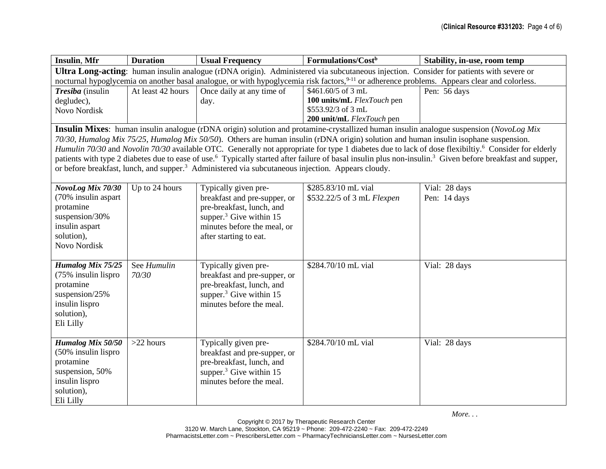| <b>Insulin, Mfr</b>                                                                                                                    | <b>Duration</b>                                                                                                                                          | <b>Usual Frequency</b>                                                                                        | Formulations/Cost <sup>b</sup>                                                                                                       | Stability, in-use, room temp                                                                                                                                                      |
|----------------------------------------------------------------------------------------------------------------------------------------|----------------------------------------------------------------------------------------------------------------------------------------------------------|---------------------------------------------------------------------------------------------------------------|--------------------------------------------------------------------------------------------------------------------------------------|-----------------------------------------------------------------------------------------------------------------------------------------------------------------------------------|
| Ultra Long-acting: human insulin analogue (rDNA origin). Administered via subcutaneous injection. Consider for patients with severe or |                                                                                                                                                          |                                                                                                               |                                                                                                                                      |                                                                                                                                                                                   |
|                                                                                                                                        | nocturnal hypoglycemia on another basal analogue, or with hypoglycemia risk factors, <sup>9-11</sup> or adherence problems. Appears clear and colorless. |                                                                                                               |                                                                                                                                      |                                                                                                                                                                                   |
| Tresiba (insulin                                                                                                                       | At least 42 hours                                                                                                                                        | Once daily at any time of                                                                                     | \$461.60/5 of 3 mL                                                                                                                   | Pen: 56 days                                                                                                                                                                      |
| degludec),                                                                                                                             |                                                                                                                                                          | day.                                                                                                          | 100 units/mL FlexTouch pen                                                                                                           |                                                                                                                                                                                   |
| <b>Novo Nordisk</b>                                                                                                                    |                                                                                                                                                          |                                                                                                               | \$553.92/3 of 3 mL                                                                                                                   |                                                                                                                                                                                   |
|                                                                                                                                        |                                                                                                                                                          |                                                                                                               | 200 unit/mL FlexTouch pen                                                                                                            |                                                                                                                                                                                   |
|                                                                                                                                        |                                                                                                                                                          |                                                                                                               |                                                                                                                                      | Insulin Mixes: human insulin analogue (rDNA origin) solution and protamine-crystallized human insulin analogue suspension (NovoLog Mix                                            |
|                                                                                                                                        |                                                                                                                                                          |                                                                                                               | 70/30, Humalog Mix 75/25, Humalog Mix 50/50). Others are human insulin (rDNA origin) solution and human insulin isophane suspension. |                                                                                                                                                                                   |
|                                                                                                                                        |                                                                                                                                                          |                                                                                                               |                                                                                                                                      | Humulin 70/30 and Novolin 70/30 available OTC. Generally not appropriate for type 1 diabetes due to lack of dose flexibiltiy. <sup>6</sup> Consider for elderly                   |
|                                                                                                                                        |                                                                                                                                                          |                                                                                                               |                                                                                                                                      | patients with type 2 diabetes due to ease of use. <sup>6</sup> Typically started after failure of basal insulin plus non-insulin. <sup>3</sup> Given before breakfast and supper, |
|                                                                                                                                        |                                                                                                                                                          | or before breakfast, lunch, and supper. <sup>3</sup> Administered via subcutaneous injection. Appears cloudy. |                                                                                                                                      |                                                                                                                                                                                   |
|                                                                                                                                        |                                                                                                                                                          |                                                                                                               |                                                                                                                                      |                                                                                                                                                                                   |
| NovoLog Mix 70/30                                                                                                                      | Up to 24 hours                                                                                                                                           | Typically given pre-                                                                                          | \$285.83/10 mL vial                                                                                                                  | Vial: 28 days                                                                                                                                                                     |
| (70% insulin aspart                                                                                                                    |                                                                                                                                                          | breakfast and pre-supper, or                                                                                  | \$532.22/5 of 3 mL Flexpen                                                                                                           | Pen: 14 days                                                                                                                                                                      |
| protamine                                                                                                                              |                                                                                                                                                          | pre-breakfast, lunch, and                                                                                     |                                                                                                                                      |                                                                                                                                                                                   |
| suspension/30%                                                                                                                         |                                                                                                                                                          | supper. $3$ Give within 15                                                                                    |                                                                                                                                      |                                                                                                                                                                                   |
| insulin aspart                                                                                                                         |                                                                                                                                                          | minutes before the meal, or                                                                                   |                                                                                                                                      |                                                                                                                                                                                   |
| solution),                                                                                                                             |                                                                                                                                                          | after starting to eat.                                                                                        |                                                                                                                                      |                                                                                                                                                                                   |
| Novo Nordisk                                                                                                                           |                                                                                                                                                          |                                                                                                               |                                                                                                                                      |                                                                                                                                                                                   |
| <b>Humalog Mix 75/25</b>                                                                                                               | See Humulin                                                                                                                                              | Typically given pre-                                                                                          | \$284.70/10 mL vial                                                                                                                  | Vial: 28 days                                                                                                                                                                     |
| (75% insulin lispro                                                                                                                    | 70/30                                                                                                                                                    | breakfast and pre-supper, or                                                                                  |                                                                                                                                      |                                                                                                                                                                                   |
| protamine                                                                                                                              |                                                                                                                                                          | pre-breakfast, lunch, and                                                                                     |                                                                                                                                      |                                                                                                                                                                                   |
| suspension/25%                                                                                                                         |                                                                                                                                                          | supper. $3$ Give within 15                                                                                    |                                                                                                                                      |                                                                                                                                                                                   |
| insulin lispro                                                                                                                         |                                                                                                                                                          | minutes before the meal.                                                                                      |                                                                                                                                      |                                                                                                                                                                                   |
| solution),                                                                                                                             |                                                                                                                                                          |                                                                                                               |                                                                                                                                      |                                                                                                                                                                                   |
| Eli Lilly                                                                                                                              |                                                                                                                                                          |                                                                                                               |                                                                                                                                      |                                                                                                                                                                                   |
|                                                                                                                                        |                                                                                                                                                          |                                                                                                               |                                                                                                                                      |                                                                                                                                                                                   |
| Humalog Mix 50/50                                                                                                                      | $>22$ hours                                                                                                                                              | Typically given pre-                                                                                          | \$284.70/10 mL vial                                                                                                                  | Vial: 28 days                                                                                                                                                                     |
| (50% insulin lispro                                                                                                                    |                                                                                                                                                          | breakfast and pre-supper, or                                                                                  |                                                                                                                                      |                                                                                                                                                                                   |
| protamine                                                                                                                              |                                                                                                                                                          | pre-breakfast, lunch, and                                                                                     |                                                                                                                                      |                                                                                                                                                                                   |
| suspension, 50%                                                                                                                        |                                                                                                                                                          | supper. <sup>3</sup> Give within 15                                                                           |                                                                                                                                      |                                                                                                                                                                                   |
| insulin lispro                                                                                                                         |                                                                                                                                                          | minutes before the meal.                                                                                      |                                                                                                                                      |                                                                                                                                                                                   |
| solution),                                                                                                                             |                                                                                                                                                          |                                                                                                               |                                                                                                                                      |                                                                                                                                                                                   |
| Eli Lilly                                                                                                                              |                                                                                                                                                          |                                                                                                               |                                                                                                                                      |                                                                                                                                                                                   |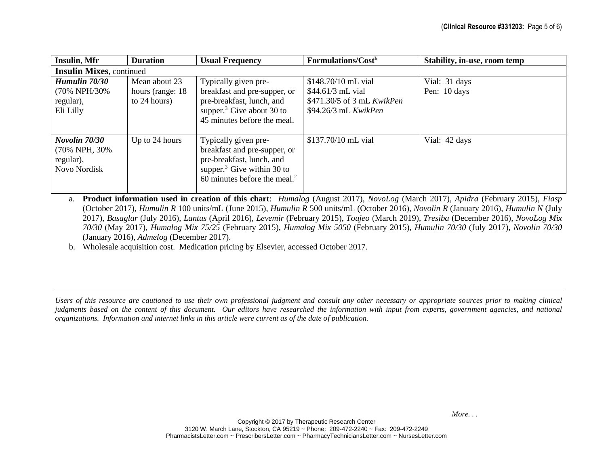| <b>Insulin, Mfr</b>                                                 | <b>Duration</b>                                    | <b>Usual Frequency</b>                                                                                                                                    | Formulations/Cost <sup>b</sup>                                                                 | Stability, in-use, room temp  |  |
|---------------------------------------------------------------------|----------------------------------------------------|-----------------------------------------------------------------------------------------------------------------------------------------------------------|------------------------------------------------------------------------------------------------|-------------------------------|--|
| <b>Insulin Mixes, continued</b>                                     |                                                    |                                                                                                                                                           |                                                                                                |                               |  |
| Humulin 70/30<br>(70% NPH/30%)<br>regular),<br>Eli Lilly            | Mean about 23<br>hours (range: 18)<br>to 24 hours) | Typically given pre-<br>breakfast and pre-supper, or<br>pre-breakfast, lunch, and<br>supper. <sup>3</sup> Give about 30 to<br>45 minutes before the meal. | \$148.70/10 mL vial<br>\$44.61/3 mL vial<br>\$471.30/5 of 3 mL KwikPen<br>\$94.26/3 mL KwikPen | Vial: 31 days<br>Pen: 10 days |  |
| Novolin 70/30<br>(70% NPH, 30%)<br>regular),<br><b>Novo Nordisk</b> | Up to 24 hours                                     | Typically given pre-<br>breakfast and pre-supper, or<br>pre-breakfast, lunch, and<br>supper. $3$ Give within 30 to<br>60 minutes before the meal. $2$     | \$137.70/10 mL vial                                                                            | Vial: 42 days                 |  |

a. **Product information used in creation of this chart**: *Humalog* (August 2017), *NovoLog* (March 2017), *Apidra* (February 2015), *Fiasp* (October 2017), *Humulin R* 100 units/mL (June 2015), *Humulin R* 500 units/mL (October 2016), *Novolin R* (January 2016), *Humulin N* (July 2017), *Basaglar* (July 2016), *Lantus* (April 2016), *Levemir* (February 2015), *Toujeo* (March 2019), *Tresiba* (December 2016), *NovoLog Mix 70/30* (May 2017), *Humalog Mix 75/25* (February 2015), *Humalog Mix 5050* (February 2015), *Humulin 70/30* (July 2017), *Novolin 70/30* (January 2016), *Admelog* (December 2017).

b. Wholesale acquisition cost. Medication pricing by Elsevier, accessed October 2017.

*Users of this resource are cautioned to use their own professional judgment and consult any other necessary or appropriate sources prior to making clinical judgments based on the content of this document. Our editors have researched the information with input from experts, government agencies, and national organizations. Information and internet links in this article were current as of the date of publication.*